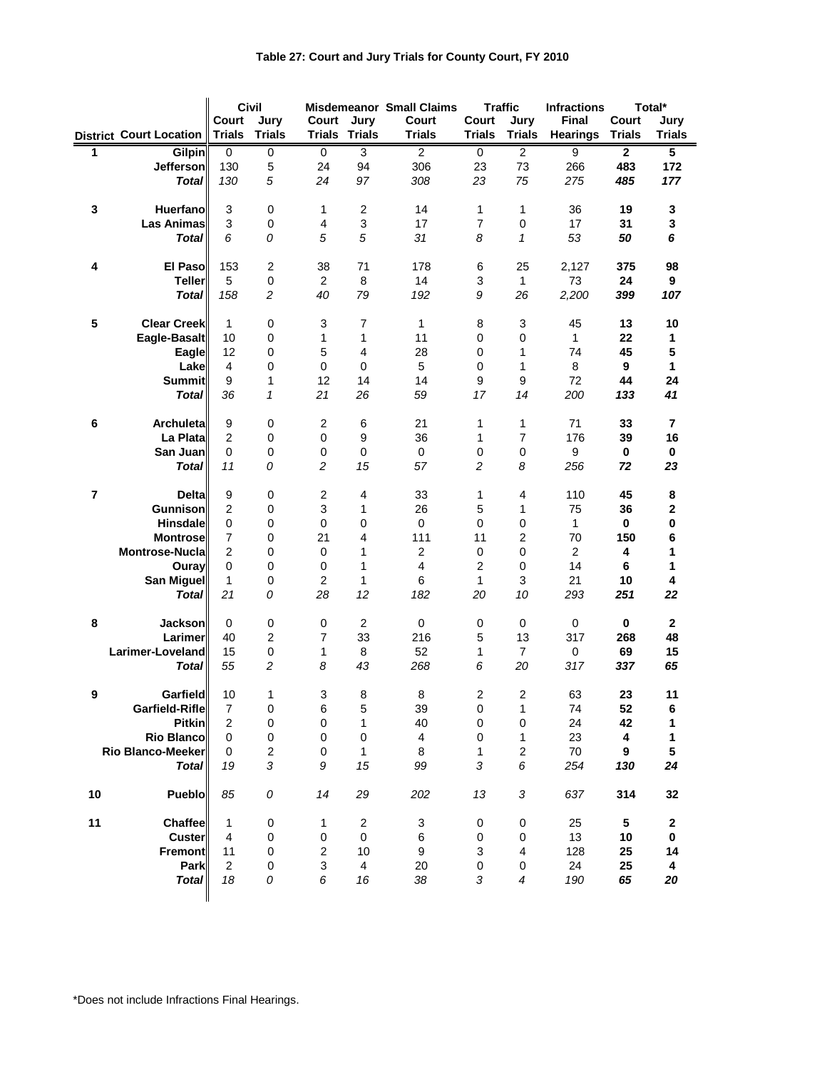## **Table 27: Court and Jury Trials for County Court, FY 2010**

|    |                                    | Civil<br><b>Misdemeanor Small Claims</b><br>Jury<br>Court<br>Court<br>Jury |                | Court                   | <b>Traffic</b><br>Court<br>Jury |                         | Total*<br><b>Infractions</b><br><b>Final</b><br>Court<br>Jury |                  |                         |                |                         |
|----|------------------------------------|----------------------------------------------------------------------------|----------------|-------------------------|---------------------------------|-------------------------|---------------------------------------------------------------|------------------|-------------------------|----------------|-------------------------|
|    | <b>District Court Location</b>     | <b>Trials</b>                                                              | <b>Trials</b>  | <b>Trials Trials</b>    |                                 | <b>Trials</b>           | <b>Trials</b>                                                 | <b>Trials</b>    | <b>Hearings</b>         | <b>Trials</b>  | <b>Trials</b>           |
| 1  | <b>Gilpin</b>                      | 0                                                                          | 0              | $\overline{0}$          | $\overline{3}$                  | $\overline{2}$          | 0                                                             | $\overline{2}$   | $\overline{9}$          | $\overline{2}$ | $\overline{\mathbf{5}}$ |
|    | Jefferson                          | 130                                                                        | 5              | 24                      | 94                              | 306                     | 23                                                            | 73               | 266                     | 483            | 172                     |
|    | <b>Total</b>                       | 130                                                                        | 5              | 24                      | 97                              | 308                     | 23                                                            | 75               | 275                     | 485            | 177                     |
| 3  | <b>Huerfano</b>                    | $\ensuremath{\mathsf{3}}$                                                  | 0              | 1                       | $\sqrt{2}$                      | 14                      | $\mathbf{1}$                                                  | 1                | 36                      | 19             | 3                       |
|    | <b>Las Animas</b>                  | 3                                                                          | 0              | $\overline{\mathbf{4}}$ | $\ensuremath{\mathsf{3}}$       | 17                      | $\overline{7}$                                                | $\mathbf 0$      | 17                      | 31             | 3                       |
|    | <b>Total</b>                       | 6                                                                          | 0              | 5                       | 5                               | 31                      | 8                                                             | $\mathcal I$     | 53                      | 50             | 6                       |
|    |                                    |                                                                            |                |                         |                                 |                         |                                                               |                  |                         |                |                         |
| 4  | El Paso                            | 153                                                                        | $\overline{c}$ | 38                      | 71                              | 178                     | 6                                                             | 25               | 2,127                   | 375            | 98                      |
|    | <b>Teller</b>                      | 5                                                                          | 0              | $\overline{c}$          | 8                               | 14                      | 3                                                             | $\mathbf{1}$     | 73                      | 24             | 9                       |
|    | Total                              | 158                                                                        | $\overline{c}$ | 40                      | 79                              | 192                     | 9                                                             | 26               | 2,200                   | 399            | 107                     |
| 5  | <b>Clear Creek</b>                 | $\mathbf{1}$                                                               | $\mathbf 0$    | 3                       | $\overline{7}$                  | 1                       | 8                                                             | 3                | 45                      | 13             | 10                      |
|    | Eagle-Basalt                       | 10                                                                         | 0              | 1                       | $\mathbf{1}$                    | 11                      | 0                                                             | 0                | $\mathbf{1}$            | 22             | 1                       |
|    | <b>Eagle</b>                       | 12                                                                         | 0              | 5                       | 4                               | 28                      | $\mathbf 0$                                                   | 1                | 74                      | 45             | 5                       |
|    | Lake                               | 4                                                                          | 0              | 0                       | 0                               | 5                       | $\mathbf 0$                                                   | 1                | 8                       | 9              | 1                       |
|    | <b>Summit</b>                      | 9                                                                          | 1              | 12                      | 14                              | 14                      | 9                                                             | $\boldsymbol{9}$ | 72                      | 44             | 24                      |
|    | <b>Total</b>                       | 36                                                                         | 1              | 21                      | 26                              | 59                      | 17                                                            | 14               | 200                     | 133            | 41                      |
| 6  | Archuleta                          | 9                                                                          | 0              | $\overline{\mathbf{c}}$ | 6                               | 21                      | 1                                                             | 1                | 71                      | 33             | $\overline{\mathbf{r}}$ |
|    | La Plata                           | $\overline{2}$                                                             | 0              | 0                       | $\boldsymbol{9}$                | 36                      | $\mathbf{1}$                                                  | $\overline{7}$   | 176                     | 39             | 16                      |
|    | San Juan                           | $\mathbf 0$                                                                | 0              | 0                       | $\pmb{0}$                       | 0                       | $\pmb{0}$                                                     | $\mathbf 0$      | 9                       | $\bf{0}$       | 0                       |
|    | <b>Total</b>                       | 11                                                                         | 0              | $\overline{c}$          | 15                              | 57                      | $\overline{c}$                                                | 8                | 256                     | 72             | 23                      |
|    |                                    |                                                                            |                |                         |                                 |                         |                                                               |                  |                         |                |                         |
| 7  | <b>Delta</b>                       | 9                                                                          | 0              | $\overline{\mathbf{c}}$ | 4                               | 33                      | 1                                                             | 4                | 110                     | 45             | 8                       |
|    | <b>Gunnison</b><br><b>Hinsdale</b> | $\overline{c}$<br>$\pmb{0}$                                                | 0<br>0         | 3<br>0                  | $\mathbf{1}$<br>$\pmb{0}$       | 26<br>0                 | 5<br>0                                                        | 1<br>0           | 75<br>1                 | 36<br>0        | 2<br>0                  |
|    | <b>Montrose</b>                    | 7                                                                          | 0              | 21                      | 4                               | 111                     | 11                                                            | 2                | 70                      | 150            | 6                       |
|    | <b>Montrose-Nucla</b>              | 2                                                                          | 0              | 0                       | $\mathbf{1}$                    | $\overline{\mathbf{c}}$ | $\mathbf 0$                                                   | $\pmb{0}$        | $\overline{\mathbf{c}}$ | 4              | 1                       |
|    | Ouray                              | $\pmb{0}$                                                                  | 0              | 0                       | $\mathbf{1}$                    | $\overline{\mathbf{4}}$ | $\overline{c}$                                                | $\pmb{0}$        | 14                      | 6              | 1                       |
|    | <b>San Miguel</b>                  | 1                                                                          | 0              | $\boldsymbol{2}$        | 1                               | 6                       | 1                                                             | 3                | 21                      | 10             | 4                       |
|    | Total                              | 21                                                                         | 0              | 28                      | 12                              | 182                     | 20                                                            | 10               | 293                     | 251            | 22                      |
| 8  | <b>Jackson</b>                     | 0                                                                          | 0              | 0                       | $\boldsymbol{2}$                | $\pmb{0}$               | $\pmb{0}$                                                     | $\pmb{0}$        | $\pmb{0}$               | $\pmb{0}$      | $\mathbf 2$             |
|    | Larimer                            | 40                                                                         | 2              | $\overline{7}$          | 33                              | 216                     | 5                                                             | 13               | 317                     | 268            | 48                      |
|    | Larimer-Loveland                   | 15                                                                         | $\mathbf 0$    | 1                       | 8                               | 52                      | 1                                                             | $\overline{7}$   | $\pmb{0}$               | 69             | 15                      |
|    | <b>Total</b>                       | 55                                                                         | $\overline{c}$ | 8                       | 43                              | 268                     | 6                                                             | 20               | 317                     | 337            | 65                      |
| 9  | <b>Garfield</b>                    | 10                                                                         | 1              | 3                       | 8                               | 8                       | $\overline{2}$                                                | $\overline{c}$   | 63                      | 23             | 11                      |
|    | Garfield-Rifle                     | 7                                                                          | 0              | 6                       | 5                               | 39                      | $\pmb{0}$                                                     | 1                | 74                      | 52             | 6                       |
|    | <b>Pitkin</b>                      | 2                                                                          | 0              | 0                       | 1                               | 40                      | 0                                                             | 0                | 24                      | 42             |                         |
|    | <b>Rio Blanco</b>                  | $\mathbf 0$                                                                | 0              | 0                       | $\pmb{0}$                       | $\overline{\mathbf{4}}$ | $\pmb{0}$                                                     | 1                | 23                      | 4              | 1                       |
|    | Rio Blanco-Meeker                  | 0                                                                          | $\overline{c}$ | 0                       | $\mathbf{1}$                    | 8                       | 1                                                             | 2                | 70                      | 9              | 5                       |
|    | <b>Total</b>                       | 19                                                                         | 3              | 9                       | 15                              | 99                      | 3                                                             | 6                | 254                     | 130            | 24                      |
|    |                                    |                                                                            |                |                         |                                 |                         |                                                               |                  |                         |                |                         |
| 10 | Pueblo                             | 85                                                                         | 0              | 14                      | 29                              | 202                     | 13                                                            | 3                | 637                     | 314            | 32                      |
| 11 | Chaffee                            | 1                                                                          | 0              | 1                       | $\overline{c}$                  | 3                       | 0                                                             | 0                | 25                      | 5              | $\boldsymbol{2}$        |
|    | <b>Custer</b>                      | 4                                                                          | 0              | 0                       | 0                               | 6                       | 0                                                             | 0                | 13                      | 10             | 0                       |
|    | Fremont                            | 11                                                                         | 0              | $\overline{\mathbf{c}}$ | 10                              | 9                       | 3                                                             | 4                | 128                     | 25             | 14                      |
|    | Park                               | $\overline{2}$                                                             | 0              | 3                       | 4                               | 20                      | 0                                                             | 0                | 24                      | 25             | 4                       |
|    | <b>Total</b>                       | 18                                                                         | 0              | 6                       | 16                              | 38                      | 3                                                             | 4                | 190                     | 65             | 20                      |
|    |                                    |                                                                            |                |                         |                                 |                         |                                                               |                  |                         |                |                         |